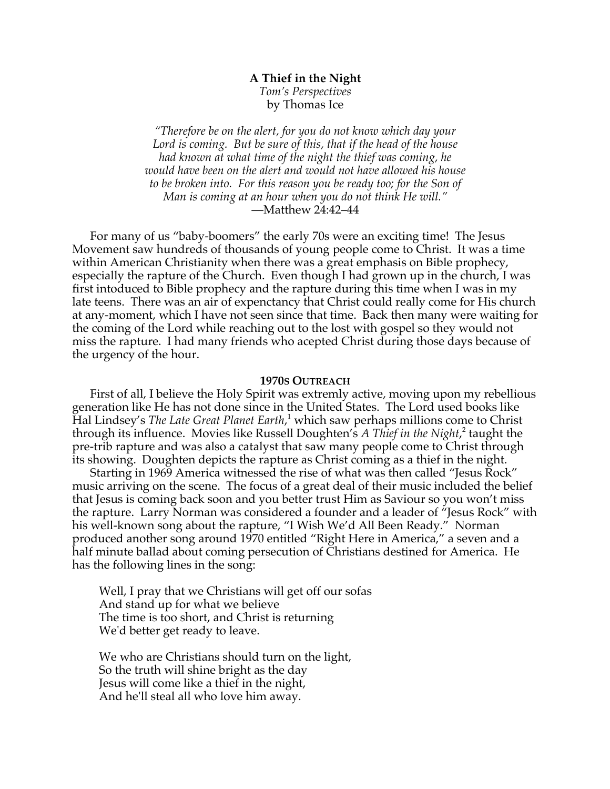# **A Thief in the Night** *Tom's Perspectives* by Thomas Ice

*"Therefore be on the alert, for you do not know which day your Lord is coming. But be sure of this, that if the head of the house had known at what time of the night the thief was coming, he would have been on the alert and would not have allowed his house to be broken into. For this reason you be ready too; for the Son of Man is coming at an hour when you do not think He will."* —Matthew 24:42–44

For many of us "baby-boomers" the early 70s were an exciting time! The Jesus Movement saw hundreds of thousands of young people come to Christ. It was a time within American Christianity when there was a great emphasis on Bible prophecy, especially the rapture of the Church. Even though I had grown up in the church, I was first intoduced to Bible prophecy and the rapture during this time when I was in my late teens. There was an air of expenctancy that Christ could really come for His church at any-moment, which I have not seen since that time. Back then many were waiting for the coming of the Lord while reaching out to the lost with gospel so they would not miss the rapture. I had many friends who acepted Christ during those days because of the urgency of the hour.

## **1970S OUTREACH**

First of all, I believe the Holy Spirit was extremly active, moving upon my rebellious generation like He has not done since in the United States. The Lord used books like Hal Lindsey's *The Late Great Planet Earth*, <sup>1</sup> which saw perhaps millions come to Christ through its influence. Movies like Russell Doughten's *A Thief in the Night*, <sup>2</sup> taught the pre-trib rapture and was also a catalyst that saw many people come to Christ through its showing. Doughten depicts the rapture as Christ coming as a thief in the night.

Starting in 1969 America witnessed the rise of what was then called "Jesus Rock" music arriving on the scene. The focus of a great deal of their music included the belief that Jesus is coming back soon and you better trust Him as Saviour so you won't miss the rapture. Larry Norman was considered a founder and a leader of "Jesus Rock" with his well-known song about the rapture, "I Wish We'd All Been Ready." Norman produced another song around 1970 entitled "Right Here in America," a seven and a half minute ballad about coming persecution of Christians destined for America. He has the following lines in the song:

Well, I pray that we Christians will get off our sofas And stand up for what we believe The time is too short, and Christ is returning We'd better get ready to leave.

We who are Christians should turn on the light, So the truth will shine bright as the day Jesus will come like a thief in the night, And he'll steal all who love him away.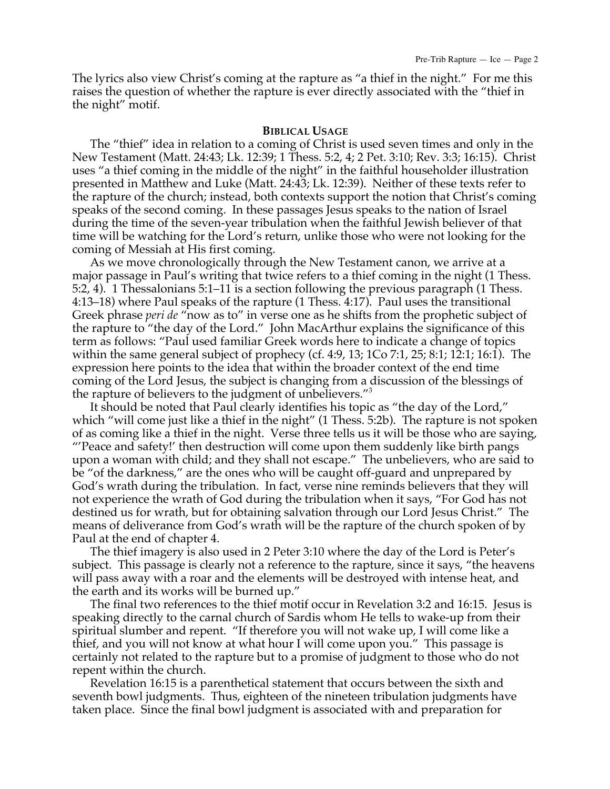The lyrics also view Christ's coming at the rapture as "a thief in the night." For me this raises the question of whether the rapture is ever directly associated with the "thief in the night" motif.

## **BIBLICAL USAGE**

The "thief" idea in relation to a coming of Christ is used seven times and only in the New Testament (Matt. 24:43; Lk. 12:39; 1 Thess. 5:2, 4; 2 Pet. 3:10; Rev. 3:3; 16:15). Christ uses "a thief coming in the middle of the night" in the faithful householder illustration presented in Matthew and Luke (Matt. 24:43; Lk. 12:39). Neither of these texts refer to the rapture of the church; instead, both contexts support the notion that Christ's coming speaks of the second coming. In these passages Jesus speaks to the nation of Israel during the time of the seven-year tribulation when the faithful Jewish believer of that time will be watching for the Lord's return, unlike those who were not looking for the coming of Messiah at His first coming.

As we move chronologically through the New Testament canon, we arrive at a major passage in Paul's writing that twice refers to a thief coming in the night (1 Thess. 5:2, 4). 1 Thessalonians 5:1–11 is a section following the previous paragraph (1 Thess. 4:13–18) where Paul speaks of the rapture (1 Thess. 4:17). Paul uses the transitional Greek phrase *peri de* "now as to" in verse one as he shifts from the prophetic subject of the rapture to "the day of the Lord." John MacArthur explains the significance of this term as follows: "Paul used familiar Greek words here to indicate a change of topics within the same general subject of prophecy (cf. 4:9, 13; 1Co 7:1, 25; 8:1; 12:1; 16:1). The expression here points to the idea that within the broader context of the end time coming of the Lord Jesus, the subject is changing from a discussion of the blessings of the rapture of believers to the judgment of unbelievers."3

It should be noted that Paul clearly identifies his topic as "the day of the Lord," which "will come just like a thief in the night" (1 Thess. 5:2b). The rapture is not spoken of as coming like a thief in the night. Verse three tells us it will be those who are saying, "'Peace and safety!' then destruction will come upon them suddenly like birth pangs upon a woman with child; and they shall not escape." The unbelievers, who are said to be "of the darkness," are the ones who will be caught off-guard and unprepared by God's wrath during the tribulation. In fact, verse nine reminds believers that they will not experience the wrath of God during the tribulation when it says, "For God has not destined us for wrath, but for obtaining salvation through our Lord Jesus Christ." The means of deliverance from God's wrath will be the rapture of the church spoken of by Paul at the end of chapter 4.

The thief imagery is also used in 2 Peter 3:10 where the day of the Lord is Peter's subject. This passage is clearly not a reference to the rapture, since it says, "the heavens will pass away with a roar and the elements will be destroyed with intense heat, and the earth and its works will be burned up."

The final two references to the thief motif occur in Revelation 3:2 and 16:15. Jesus is speaking directly to the carnal church of Sardis whom He tells to wake-up from their spiritual slumber and repent. "If therefore you will not wake up, I will come like a thief, and you will not know at what hour I will come upon you." This passage is certainly not related to the rapture but to a promise of judgment to those who do not repent within the church.

Revelation 16:15 is a parenthetical statement that occurs between the sixth and seventh bowl judgments. Thus, eighteen of the nineteen tribulation judgments have taken place. Since the final bowl judgment is associated with and preparation for